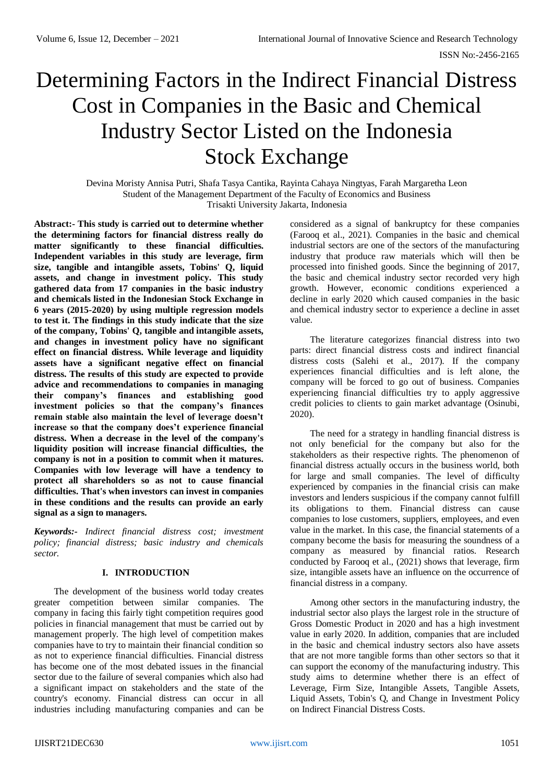# Determining Factors in the Indirect Financial Distress Cost in Companies in the Basic and Chemical Industry Sector Listed on the Indonesia Stock Exchange

Devina Moristy Annisa Putri, Shafa Tasya Cantika, Rayinta Cahaya Ningtyas, Farah Margaretha Leon Student of the Management Department of the Faculty of Economics and Business Trisakti University Jakarta, Indonesia

**Abstract:- This study is carried out to determine whether the determining factors for financial distress really do matter significantly to these financial difficulties. Independent variables in this study are leverage, firm size, tangible and intangible assets, Tobins' Q, liquid assets, and change in investment policy. This study gathered data from 17 companies in the basic industry and chemicals listed in the Indonesian Stock Exchange in 6 years (2015-2020) by using multiple regression models to test it. The findings in this study indicate that the size of the company, Tobins' Q, tangible and intangible assets, and changes in investment policy have no significant effect on financial distress. While leverage and liquidity assets have a significant negative effect on financial distress. The results of this study are expected to provide advice and recommendations to companies in managing their company's finances and establishing good investment policies so that the company's finances remain stable also maintain the level of leverage doesn't increase so that the company does't experience financial distress. When a decrease in the level of the company's liquidity position will increase financial difficulties, the company is not in a position to commit when it matures. Companies with low leverage will have a tendency to protect all shareholders so as not to cause financial difficulties. That's when investors can invest in companies in these conditions and the results can provide an early signal as a sign to managers.**

*Keywords:- Indirect financial distress cost; investment policy; financial distress; basic industry and chemicals sector.*

## **I. INTRODUCTION**

The development of the business world today creates greater competition between similar companies. The company in facing this fairly tight competition requires good policies in financial management that must be carried out by management properly. The high level of competition makes companies have to try to maintain their financial condition so as not to experience financial difficulties. Financial distress has become one of the most debated issues in the financial sector due to the failure of several companies which also had a significant impact on stakeholders and the state of the country's economy. Financial distress can occur in all industries including manufacturing companies and can be

considered as a signal of bankruptcy for these companies (Farooq et al., 2021). Companies in the basic and chemical industrial sectors are one of the sectors of the manufacturing industry that produce raw materials which will then be processed into finished goods. Since the beginning of 2017, the basic and chemical industry sector recorded very high growth. However, economic conditions experienced a decline in early 2020 which caused companies in the basic and chemical industry sector to experience a decline in asset value.

The literature categorizes financial distress into two parts: direct financial distress costs and indirect financial distress costs (Salehi et al., 2017). If the company experiences financial difficulties and is left alone, the company will be forced to go out of business. Companies experiencing financial difficulties try to apply aggressive credit policies to clients to gain market advantage (Osinubi, 2020).

The need for a strategy in handling financial distress is not only beneficial for the company but also for the stakeholders as their respective rights. The phenomenon of financial distress actually occurs in the business world, both for large and small companies. The level of difficulty experienced by companies in the financial crisis can make investors and lenders suspicious if the company cannot fulfill its obligations to them. Financial distress can cause companies to lose customers, suppliers, employees, and even value in the market. In this case, the financial statements of a company become the basis for measuring the soundness of a company as measured by financial ratios. Research conducted by Farooq et al., (2021) shows that leverage, firm size, intangible assets have an influence on the occurrence of financial distress in a company.

Among other sectors in the manufacturing industry, the industrial sector also plays the largest role in the structure of Gross Domestic Product in 2020 and has a high investment value in early 2020. In addition, companies that are included in the basic and chemical industry sectors also have assets that are not more tangible forms than other sectors so that it can support the economy of the manufacturing industry. This study aims to determine whether there is an effect of Leverage, Firm Size, Intangible Assets, Tangible Assets, Liquid Assets, Tobin's Q, and Change in Investment Policy on Indirect Financial Distress Costs.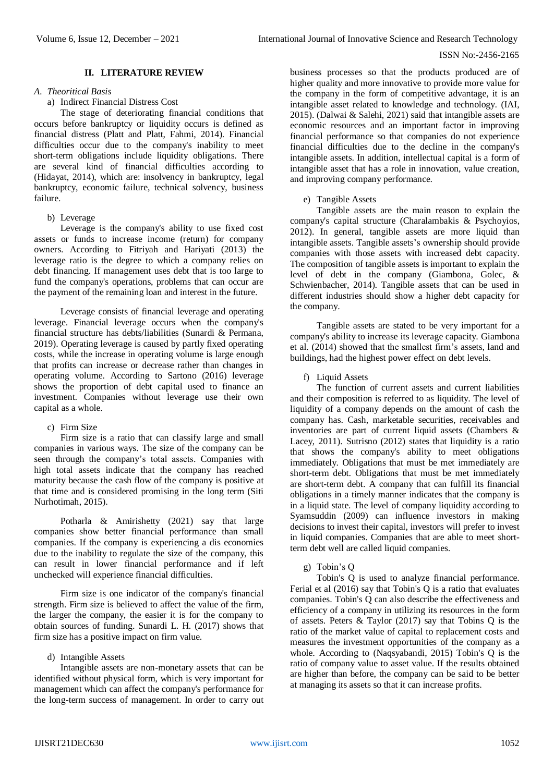# **II. LITERATURE REVIEW**

#### *A. Theoritical Basis*

## a) Indirect Financial Distress Cost

The stage of deteriorating financial conditions that occurs before bankruptcy or liquidity occurs is defined as financial distress (Platt and Platt, Fahmi, 2014). Financial difficulties occur due to the company's inability to meet short-term obligations include liquidity obligations. There are several kind of financial difficulties according to (Hidayat, 2014), which are: insolvency in bankruptcy, legal bankruptcy, economic failure, technical solvency, business failure.

## b) Leverage

Leverage is the company's ability to use fixed cost assets or funds to increase income (return) for company owners. According to Fitriyah and Hariyati (2013) the leverage ratio is the degree to which a company relies on debt financing. If management uses debt that is too large to fund the company's operations, problems that can occur are the payment of the remaining loan and interest in the future.

Leverage consists of financial leverage and operating leverage. Financial leverage occurs when the company's financial structure has debts/liabilities (Sunardi & Permana, 2019). Operating leverage is caused by partly fixed operating costs, while the increase in operating volume is large enough that profits can increase or decrease rather than changes in operating volume. According to Sartono (2016) leverage shows the proportion of debt capital used to finance an investment. Companies without leverage use their own capital as a whole.

# c) Firm Size

Firm size is a ratio that can classify large and small companies in various ways. The size of the company can be seen through the company's total assets. Companies with high total assets indicate that the company has reached maturity because the cash flow of the company is positive at that time and is considered promising in the long term (Siti Nurhotimah, 2015).

Potharla & Amirishetty (2021) say that large companies show better financial performance than small companies. If the company is experiencing a dis economies due to the inability to regulate the size of the company, this can result in lower financial performance and if left unchecked will experience financial difficulties.

Firm size is one indicator of the company's financial strength. Firm size is believed to affect the value of the firm, the larger the company, the easier it is for the company to obtain sources of funding. Sunardi L. H. (2017) shows that firm size has a positive impact on firm value.

# d) Intangible Assets

Intangible assets are non-monetary assets that can be identified without physical form, which is very important for management which can affect the company's performance for the long-term success of management. In order to carry out business processes so that the products produced are of higher quality and more innovative to provide more value for the company in the form of competitive advantage, it is an intangible asset related to knowledge and technology. (IAI, 2015). (Dalwai & Salehi, 2021) said that intangible assets are economic resources and an important factor in improving financial performance so that companies do not experience financial difficulties due to the decline in the company's intangible assets. In addition, intellectual capital is a form of intangible asset that has a role in innovation, value creation, and improving company performance.

# e) Tangible Assets

Tangible assets are the main reason to explain the company's capital structure (Charalambakis & Psychoyios, 2012). In general, tangible assets are more liquid than intangible assets. Tangible assets's ownership should provide companies with those assets with increased debt capacity. The composition of tangible assets is important to explain the level of debt in the company (Giambona, Golec, & Schwienbacher, 2014). Tangible assets that can be used in different industries should show a higher debt capacity for the company.

Tangible assets are stated to be very important for a company's ability to increase its leverage capacity. Giambona et al. (2014) showed that the smallest firm's assets, land and buildings, had the highest power effect on debt levels.

# f) Liquid Assets

The function of current assets and current liabilities and their composition is referred to as liquidity. The level of liquidity of a company depends on the amount of cash the company has. Cash, marketable securities, receivables and inventories are part of current liquid assets (Chambers & Lacey, 2011). Sutrisno (2012) states that liquidity is a ratio that shows the company's ability to meet obligations immediately. Obligations that must be met immediately are short-term debt. Obligations that must be met immediately are short-term debt. A company that can fulfill its financial obligations in a timely manner indicates that the company is in a liquid state. The level of company liquidity according to Syamsuddin (2009) can influence investors in making decisions to invest their capital, investors will prefer to invest in liquid companies. Companies that are able to meet shortterm debt well are called liquid companies.

#### g) Tobin's Q

Tobin's Q is used to analyze financial performance. Ferial et al (2016) say that Tobin's Q is a ratio that evaluates companies. Tobin's Q can also describe the effectiveness and efficiency of a company in utilizing its resources in the form of assets. Peters & Taylor (2017) say that Tobins Q is the ratio of the market value of capital to replacement costs and measures the investment opportunities of the company as a whole. According to (Naqsyabandi, 2015) Tobin's Q is the ratio of company value to asset value. If the results obtained are higher than before, the company can be said to be better at managing its assets so that it can increase profits.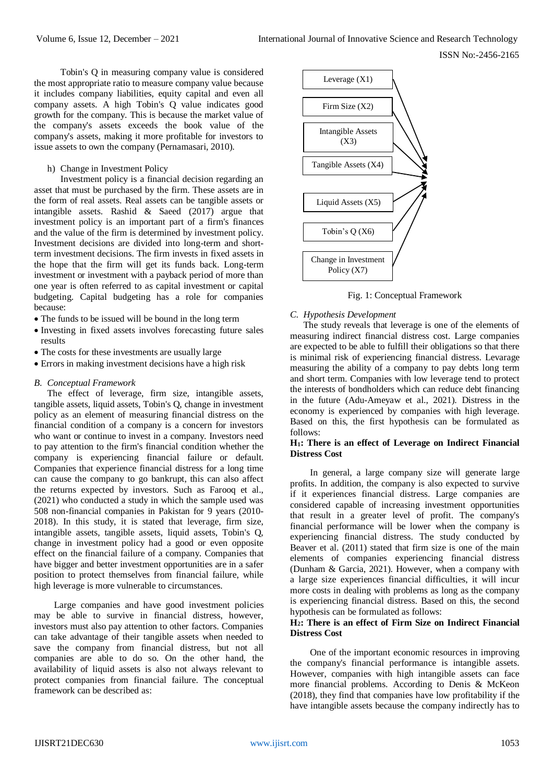Tobin's Q in measuring company value is considered the most appropriate ratio to measure company value because it includes company liabilities, equity capital and even all company assets. A high Tobin's Q value indicates good growth for the company. This is because the market value of the company's assets exceeds the book value of the company's assets, making it more profitable for investors to issue assets to own the company (Pernamasari, 2010).

h) Change in Investment Policy

Investment policy is a financial decision regarding an asset that must be purchased by the firm. These assets are in the form of real assets. Real assets can be tangible assets or intangible assets. Rashid & Saeed (2017) argue that investment policy is an important part of a firm's finances and the value of the firm is determined by investment policy. Investment decisions are divided into long-term and shortterm investment decisions. The firm invests in fixed assets in the hope that the firm will get its funds back. Long-term investment or investment with a payback period of more than one year is often referred to as capital investment or capital budgeting. Capital budgeting has a role for companies because:

- The funds to be issued will be bound in the long term
- Investing in fixed assets involves forecasting future sales results
- The costs for these investments are usually large
- Errors in making investment decisions have a high risk

## *B. Conceptual Framework*

The effect of leverage, firm size, intangible assets, tangible assets, liquid assets, Tobin's Q, change in investment policy as an element of measuring financial distress on the financial condition of a company is a concern for investors who want or continue to invest in a company. Investors need to pay attention to the firm's financial condition whether the company is experiencing financial failure or default. Companies that experience financial distress for a long time can cause the company to go bankrupt, this can also affect the returns expected by investors. Such as Farooq et al., (2021) who conducted a study in which the sample used was 508 non-financial companies in Pakistan for 9 years (2010- 2018). In this study, it is stated that leverage, firm size, intangible assets, tangible assets, liquid assets, Tobin's Q, change in investment policy had a good or even opposite effect on the financial failure of a company. Companies that have bigger and better investment opportunities are in a safer position to protect themselves from financial failure, while high leverage is more vulnerable to circumstances.

Large companies and have good investment policies may be able to survive in financial distress, however, investors must also pay attention to other factors. Companies can take advantage of their tangible assets when needed to save the company from financial distress, but not all companies are able to do so. On the other hand, the availability of liquid assets is also not always relevant to protect companies from financial failure. The conceptual framework can be described as:



Fig. 1: Conceptual Framework

#### *C. Hypothesis Development*

The study reveals that leverage is one of the elements of measuring indirect financial distress cost. Large companies are expected to be able to fulfill their obligations so that there is minimal risk of experiencing financial distress. Levarage measuring the ability of a company to pay debts long term and short term. Companies with low leverage tend to protect the interests of bondholders which can reduce debt financing in the future (Adu-Ameyaw et al., 2021). Distress in the economy is experienced by companies with high leverage. Based on this, the first hypothesis can be formulated as follows:

## **H1: There is an effect of Leverage on Indirect Financial Distress Cost**

In general, a large company size will generate large profits. In addition, the company is also expected to survive if it experiences financial distress. Large companies are considered capable of increasing investment opportunities that result in a greater level of profit. The company's financial performance will be lower when the company is experiencing financial distress. The study conducted by Beaver et al. (2011) stated that firm size is one of the main elements of companies experiencing financial distress (Dunham & Garcia, 2021). However, when a company with a large size experiences financial difficulties, it will incur more costs in dealing with problems as long as the company is experiencing financial distress. Based on this, the second hypothesis can be formulated as follows:

## **H2: There is an effect of Firm Size on Indirect Financial Distress Cost**

One of the important economic resources in improving the company's financial performance is intangible assets. However, companies with high intangible assets can face more financial problems. According to Denis & McKeon (2018), they find that companies have low profitability if the have intangible assets because the company indirectly has to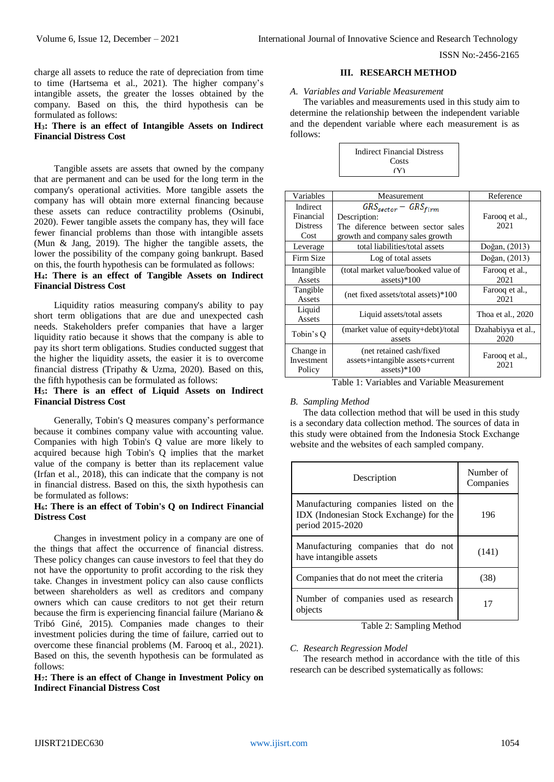charge all assets to reduce the rate of depreciation from time to time (Hartsema et al., 2021). The higher company's intangible assets, the greater the losses obtained by the company. Based on this, the third hypothesis can be formulated as follows:

# **H3: There is an effect of Intangible Assets on Indirect Financial Distress Cost**

Tangible assets are assets that owned by the company that are permanent and can be used for the long term in the company's operational activities. More tangible assets the company has will obtain more external financing because these assets can reduce contractility problems (Osinubi, 2020). Fewer tangible assets the company has, they will face fewer financial problems than those with intangible assets (Mun & Jang, 2019). The higher the tangible assets, the lower the possibility of the company going bankrupt. Based on this, the fourth hypothesis can be formulated as follows:

## **H4: There is an effect of Tangible Assets on Indirect Financial Distress Cost**

Liquidity ratios measuring company's ability to pay short term obligations that are due and unexpected cash needs. Stakeholders prefer companies that have a larger liquidity ratio because it shows that the company is able to pay its short term obligations. Studies conducted suggest that the higher the liquidity assets, the easier it is to overcome financial distress (Tripathy & Uzma, 2020). Based on this, the fifth hypothesis can be formulated as follows:

## **H5: There is an effect of Liquid Assets on Indirect Financial Distress Cost**

Generally, Tobin's Q measures company's performance because it combines company value with accounting value. Companies with high Tobin's Q value are more likely to acquired because high Tobin's Q implies that the market value of the company is better than its replacement value (Irfan et al., 2018), this can indicate that the company is not in financial distress. Based on this, the sixth hypothesis can be formulated as follows:

# **H6: There is an effect of Tobin's Q on Indirect Financial Distress Cost**

Changes in investment policy in a company are one of the things that affect the occurrence of financial distress. These policy changes can cause investors to feel that they do not have the opportunity to profit according to the risk they take. Changes in investment policy can also cause conflicts between shareholders as well as creditors and company owners which can cause creditors to not get their return because the firm is experiencing financial failure (Mariano & Tribó Giné, 2015). Companies made changes to their investment policies during the time of failure, carried out to overcome these financial problems (M. Farooq et al., 2021). Based on this, the seventh hypothesis can be formulated as follows:

**H7: There is an effect of Change in Investment Policy on Indirect Financial Distress Cost**

#### **III. RESEARCH METHOD**

#### *A. Variables and Variable Measurement*

The variables and measurements used in this study aim to determine the relationship between the independent variable and the dependent variable where each measurement is as follows:

| Indirect Financial Distress |  |
|-----------------------------|--|
| Costs                       |  |
| (Y)                         |  |

| Variables                                              | Measurement                         | Reference          |  |
|--------------------------------------------------------|-------------------------------------|--------------------|--|
| Indirect                                               | $GRS_{sector} - GRS_{firm}$         |                    |  |
| Financial                                              | Description:                        | Farooq et al.,     |  |
| <b>Distress</b>                                        | The diference between sector sales  | 2021               |  |
| Cost                                                   | growth and company sales growth     |                    |  |
| Leverage                                               | total liabilities/total assets      | Doğan, (2013)      |  |
| Firm Size                                              | Log of total assets                 | Doğan, (2013)      |  |
| Intangible                                             | (total market value/booked value of | Farooq et al.,     |  |
| Assets                                                 | assets $*100$                       | 2021               |  |
| Tangible                                               | (net fixed assets/total assets)*100 | Farooq et al.,     |  |
| Assets                                                 |                                     | 2021               |  |
| Liquid                                                 | Liquid assets/total assets          | Thoa et al., 2020  |  |
| Assets                                                 |                                     |                    |  |
| Tobin's O                                              | (market value of equity+debt)/total | Dzahabiyya et al., |  |
|                                                        | assets                              | 2020               |  |
| Change in                                              | (net retained cash/fixed)           |                    |  |
| Investment                                             | assets+intangible assets+current    | Farooq et al.,     |  |
| Policy                                                 | assets $)*100$                      | 2021               |  |
| $T_{\alpha}$ kla 1. Vanjaklaa and Vanjakla Maaannamant |                                     |                    |  |

#### Table 1: Variables and Variable Measurement

# *B. Sampling Method*

The data collection method that will be used in this study is a secondary data collection method. The sources of data in this study were obtained from the Indonesia Stock Exchange website and the websites of each sampled company.

| Description                                                                                          | Number of<br>Companies |
|------------------------------------------------------------------------------------------------------|------------------------|
| Manufacturing companies listed on the<br>IDX (Indonesian Stock Exchange) for the<br>period 2015-2020 | 196                    |
| Manufacturing companies that do not<br>have intangible assets                                        | (141)                  |
| Companies that do not meet the criteria                                                              | (38)                   |
| Number of companies used as research<br>objects                                                      | 17                     |

Table 2: Sampling Method

#### *C. Research Regression Model*

The research method in accordance with the title of this research can be described systematically as follows: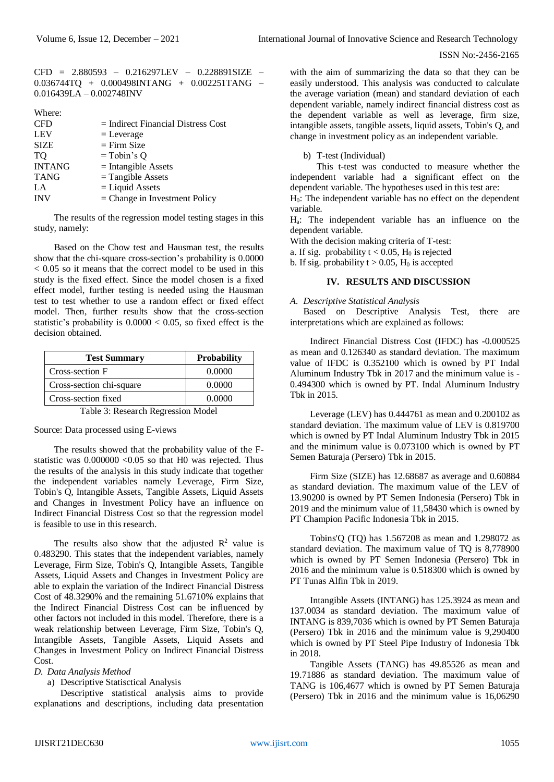CFD = 2.880593 – 0.216297LEV – 0.228891SIZE – 0.036744TQ + 0.000498INTANG + 0.002251TANG – 0.016439LA – 0.002748INV

| Where:        |                                      |
|---------------|--------------------------------------|
| <b>CFD</b>    | $=$ Indirect Financial Distress Cost |
| <b>LEV</b>    | $=$ Leverage                         |
| <b>SIZE</b>   | $=$ Firm Size                        |
| TO            | $=$ Tobin's Q                        |
| <b>INTANG</b> | $=$ Intangible Assets                |
| <b>TANG</b>   | $=$ Tangible Assets                  |
| LA            | $=$ Liquid Assets                    |
| <b>INV</b>    | $=$ Change in Investment Policy      |
|               |                                      |

The results of the regression model testing stages in this study, namely:

Based on the Chow test and Hausman test, the results show that the chi-square cross-section's probability is 0.0000 < 0.05 so it means that the correct model to be used in this study is the fixed effect. Since the model chosen is a fixed effect model, further testing is needed using the Hausman test to test whether to use a random effect or fixed effect model. Then, further results show that the cross-section statistic's probability is  $0.0000 < 0.05$ , so fixed effect is the decision obtained.

| <b>Test Summary</b>      | <b>Probability</b> |
|--------------------------|--------------------|
| Cross-section F          | 0.0000             |
| Cross-section chi-square | 0.0000             |
| Cross-section fixed      | 0.0000             |
|                          |                    |

Table 3: Research Regression Model

Source: Data processed using E-views

The results showed that the probability value of the Fstatistic was 0.000000 <0.05 so that H0 was rejected. Thus the results of the analysis in this study indicate that together the independent variables namely Leverage, Firm Size, Tobin's Q, Intangible Assets, Tangible Assets, Liquid Assets and Changes in Investment Policy have an influence on Indirect Financial Distress Cost so that the regression model is feasible to use in this research.

The results also show that the adjusted  $\mathbb{R}^2$  value is 0.483290. This states that the independent variables, namely Leverage, Firm Size, Tobin's Q, Intangible Assets, Tangible Assets, Liquid Assets and Changes in Investment Policy are able to explain the variation of the Indirect Financial Distress Cost of 48.3290% and the remaining 51.6710% explains that the Indirect Financial Distress Cost can be influenced by other factors not included in this model. Therefore, there is a weak relationship between Leverage, Firm Size, Tobin's Q, Intangible Assets, Tangible Assets, Liquid Assets and Changes in Investment Policy on Indirect Financial Distress Cost.

# *D. Data Analysis Method*

a) Descriptive Statisctical Analysis

Descriptive statistical analysis aims to provide explanations and descriptions, including data presentation

with the aim of summarizing the data so that they can be easily understood. This analysis was conducted to calculate the average variation (mean) and standard deviation of each dependent variable, namely indirect financial distress cost as the dependent variable as well as leverage, firm size, intangible assets, tangible assets, liquid assets, Tobin's Q, and change in investment policy as an independent variable.

b) T-test (Individual)

This t-test was conducted to measure whether the independent variable had a significant effect on the dependent variable. The hypotheses used in this test are:

H0: The independent variable has no effect on the dependent variable.

Ha: The independent variable has an influence on the dependent variable.

With the decision making criteria of T-test:

a. If sig. probability  $t < 0.05$ ,  $H_0$  is rejected

b. If sig. probability  $t > 0.05$ , H<sub>0</sub> is accepted

## **IV. RESULTS AND DISCUSSION**

#### *A. Descriptive Statistical Analysis*

Based on Descriptive Analysis Test, there are interpretations which are explained as follows:

Indirect Financial Distress Cost (IFDC) has -0.000525 as mean and 0.126340 as standard deviation. The maximum value of IFDC is 0.352100 which is owned by PT Indal Aluminum Industry Tbk in 2017 and the minimum value is - 0.494300 which is owned by PT. Indal Aluminum Industry Tbk in 2015.

Leverage (LEV) has 0.444761 as mean and 0.200102 as standard deviation. The maximum value of LEV is 0.819700 which is owned by PT Indal Aluminum Industry Tbk in 2015 and the minimum value is 0.073100 which is owned by PT Semen Baturaja (Persero) Tbk in 2015.

Firm Size (SIZE) has 12.68687 as average and 0.60884 as standard deviation. The maximum value of the LEV of 13.90200 is owned by PT Semen Indonesia (Persero) Tbk in 2019 and the minimum value of 11,58430 which is owned by PT Champion Pacific Indonesia Tbk in 2015.

Tobins'Q (TQ) has 1.567208 as mean and 1.298072 as standard deviation. The maximum value of TQ is 8,778900 which is owned by PT Semen Indonesia (Persero) Tbk in 2016 and the minimum value is 0.518300 which is owned by PT Tunas Alfin Tbk in 2019.

Intangible Assets (INTANG) has 125.3924 as mean and 137.0034 as standard deviation. The maximum value of INTANG is 839,7036 which is owned by PT Semen Baturaja (Persero) Tbk in 2016 and the minimum value is 9,290400 which is owned by PT Steel Pipe Industry of Indonesia Tbk in 2018.

Tangible Assets (TANG) has 49.85526 as mean and 19.71886 as standard deviation. The maximum value of TANG is 106,4677 which is owned by PT Semen Baturaja (Persero) Tbk in 2016 and the minimum value is 16,06290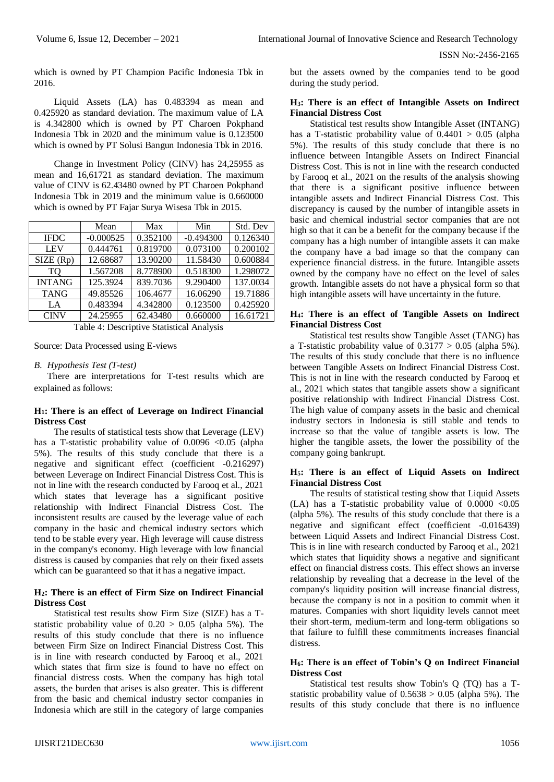which is owned by PT Champion Pacific Indonesia Tbk in 2016.

Liquid Assets (LA) has 0.483394 as mean and 0.425920 as standard deviation. The maximum value of LA is 4.342800 which is owned by PT Charoen Pokphand Indonesia Tbk in 2020 and the minimum value is 0.123500 which is owned by PT Solusi Bangun Indonesia Tbk in 2016.

Change in Investment Policy (CINV) has 24,25955 as mean and 16,61721 as standard deviation. The maximum value of CINV is 62.43480 owned by PT Charoen Pokphand Indonesia Tbk in 2019 and the minimum value is 0.660000 which is owned by PT Fajar Surya Wisesa Tbk in 2015.

| Mean        | Max      | Min         | Std. Dev |
|-------------|----------|-------------|----------|
| $-0.000525$ | 0.352100 | $-0.494300$ | 0.126340 |
| 0.444761    | 0.819700 | 0.073100    | 0.200102 |
| 12.68687    | 13.90200 | 11.58430    | 0.600884 |
| 1.567208    | 8.778900 | 0.518300    | 1.298072 |
| 125.3924    | 839.7036 | 9.290400    | 137.0034 |
| 49.85526    | 106.4677 | 16.06290    | 19.71886 |
| 0.483394    | 4.342800 | 0.123500    | 0.425920 |
| 24.25955    | 62.43480 | 0.660000    | 16.61721 |
|             |          |             |          |

Table 4: Descriptive Statistical Analysis

Source: Data Processed using E-views

# *B. Hypothesis Test (T-test)*

There are interpretations for T-test results which are explained as follows:

## **H1: There is an effect of Leverage on Indirect Financial Distress Cost**

The results of statistical tests show that Leverage (LEV) has a T-statistic probability value of  $0.0096 \le 0.05$  (alpha 5%). The results of this study conclude that there is a negative and significant effect (coefficient -0.216297) between Leverage on Indirect Financial Distress Cost. This is not in line with the research conducted by Farooq et al., 2021 which states that leverage has a significant positive relationship with Indirect Financial Distress Cost. The inconsistent results are caused by the leverage value of each company in the basic and chemical industry sectors which tend to be stable every year. High leverage will cause distress in the company's economy. High leverage with low financial distress is caused by companies that rely on their fixed assets which can be guaranteed so that it has a negative impact.

# **H2: There is an effect of Firm Size on Indirect Financial Distress Cost**

Statistical test results show Firm Size (SIZE) has a Tstatistic probability value of  $0.20 > 0.05$  (alpha 5%). The results of this study conclude that there is no influence between Firm Size on Indirect Financial Distress Cost. This is in line with research conducted by Farooq et al., 2021 which states that firm size is found to have no effect on financial distress costs. When the company has high total assets, the burden that arises is also greater. This is different from the basic and chemical industry sector companies in Indonesia which are still in the category of large companies

but the assets owned by the companies tend to be good during the study period.

# **H3: There is an effect of Intangible Assets on Indirect Financial Distress Cost**

Statistical test results show Intangible Asset (INTANG) has a T-statistic probability value of  $0.4401 > 0.05$  (alpha 5%). The results of this study conclude that there is no influence between Intangible Assets on Indirect Financial Distress Cost. This is not in line with the research conducted by Farooq et al., 2021 on the results of the analysis showing that there is a significant positive influence between intangible assets and Indirect Financial Distress Cost. This discrepancy is caused by the number of intangible assets in basic and chemical industrial sector companies that are not high so that it can be a benefit for the company because if the company has a high number of intangible assets it can make the company have a bad image so that the company can experience financial distress. in the future. Intangible assets owned by the company have no effect on the level of sales growth. Intangible assets do not have a physical form so that high intangible assets will have uncertainty in the future.

## **H4: There is an effect of Tangible Assets on Indirect Financial Distress Cost**

Statistical test results show Tangible Asset (TANG) has a T-statistic probability value of  $0.3177 > 0.05$  (alpha 5%). The results of this study conclude that there is no influence between Tangible Assets on Indirect Financial Distress Cost. This is not in line with the research conducted by Farooq et al., 2021 which states that tangible assets show a significant positive relationship with Indirect Financial Distress Cost. The high value of company assets in the basic and chemical industry sectors in Indonesia is still stable and tends to increase so that the value of tangible assets is low. The higher the tangible assets, the lower the possibility of the company going bankrupt.

# **H5: There is an effect of Liquid Assets on Indirect Financial Distress Cost**

The results of statistical testing show that Liquid Assets (LA) has a T-statistic probability value of  $0.0000 < 0.05$ (alpha 5%). The results of this study conclude that there is a negative and significant effect (coefficient -0.016439) between Liquid Assets and Indirect Financial Distress Cost. This is in line with research conducted by Farooq et al., 2021 which states that liquidity shows a negative and significant effect on financial distress costs. This effect shows an inverse relationship by revealing that a decrease in the level of the company's liquidity position will increase financial distress, because the company is not in a position to commit when it matures. Companies with short liquidity levels cannot meet their short-term, medium-term and long-term obligations so that failure to fulfill these commitments increases financial distress.

## **H6: There is an effect of Tobin's Q on Indirect Financial Distress Cost**

Statistical test results show Tobin's Q (TQ) has a Tstatistic probability value of  $0.5638 > 0.05$  (alpha 5%). The results of this study conclude that there is no influence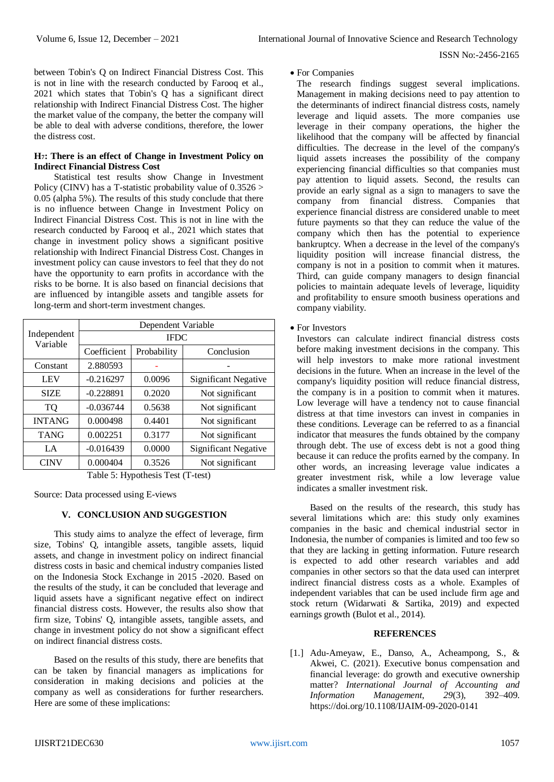between Tobin's Q on Indirect Financial Distress Cost. This is not in line with the research conducted by Farooq et al., 2021 which states that Tobin's Q has a significant direct relationship with Indirect Financial Distress Cost. The higher the market value of the company, the better the company will be able to deal with adverse conditions, therefore, the lower the distress cost.

## **H7: There is an effect of Change in Investment Policy on Indirect Financial Distress Cost**

Statistical test results show Change in Investment Policy (CINV) has a T-statistic probability value of  $0.3526 >$ 0.05 (alpha 5%). The results of this study conclude that there is no influence between Change in Investment Policy on Indirect Financial Distress Cost. This is not in line with the research conducted by Farooq et al., 2021 which states that change in investment policy shows a significant positive relationship with Indirect Financial Distress Cost. Changes in investment policy can cause investors to feel that they do not have the opportunity to earn profits in accordance with the risks to be borne. It is also based on financial decisions that are influenced by intangible assets and tangible assets for long-term and short-term investment changes.

|                         | Dependent Variable |             |                             |
|-------------------------|--------------------|-------------|-----------------------------|
| Independent<br>Variable | <b>IFDC</b>        |             |                             |
|                         | Coefficient        | Probability | Conclusion                  |
| Constant                | 2.880593           |             |                             |
| <b>LEV</b>              | $-0.216297$        | 0.0096      | <b>Significant Negative</b> |
| <b>SIZE</b>             | $-0.228891$        | 0.2020      | Not significant             |
| <b>TQ</b>               | $-0.036744$        | 0.5638      | Not significant             |
| <b>INTANG</b>           | 0.000498           | 0.4401      | Not significant             |
| <b>TANG</b>             | 0.002251           | 0.3177      | Not significant             |
| LA                      | $-0.016439$        | 0.0000      | <b>Significant Negative</b> |
| <b>CINV</b>             | 0.000404           | 0.3526      | Not significant             |

Table 5: Hypothesis Test (T-test)

Source: Data processed using E-views

# **V. CONCLUSION AND SUGGESTION**

This study aims to analyze the effect of leverage, firm size, Tobins' O, intangible assets, tangible assets, liquid assets, and change in investment policy on indirect financial distress costs in basic and chemical industry companies listed on the Indonesia Stock Exchange in 2015 -2020. Based on the results of the study, it can be concluded that leverage and liquid assets have a significant negative effect on indirect financial distress costs. However, the results also show that firm size, Tobins' Q, intangible assets, tangible assets, and change in investment policy do not show a significant effect on indirect financial distress costs.

Based on the results of this study, there are benefits that can be taken by financial managers as implications for consideration in making decisions and policies at the company as well as considerations for further researchers. Here are some of these implications:

#### For Companies

The research findings suggest several implications. Management in making decisions need to pay attention to the determinants of indirect financial distress costs, namely leverage and liquid assets. The more companies use leverage in their company operations, the higher the likelihood that the company will be affected by financial difficulties. The decrease in the level of the company's liquid assets increases the possibility of the company experiencing financial difficulties so that companies must pay attention to liquid assets. Second, the results can provide an early signal as a sign to managers to save the company from financial distress. Companies that experience financial distress are considered unable to meet future payments so that they can reduce the value of the company which then has the potential to experience bankruptcy. When a decrease in the level of the company's liquidity position will increase financial distress, the company is not in a position to commit when it matures. Third, can guide company managers to design financial policies to maintain adequate levels of leverage, liquidity and profitability to ensure smooth business operations and company viability.

• For Investors

Investors can calculate indirect financial distress costs before making investment decisions in the company. This will help investors to make more rational investment decisions in the future. When an increase in the level of the company's liquidity position will reduce financial distress, the company is in a position to commit when it matures. Low leverage will have a tendency not to cause financial distress at that time investors can invest in companies in these conditions. Leverage can be referred to as a financial indicator that measures the funds obtained by the company through debt. The use of excess debt is not a good thing because it can reduce the profits earned by the company. In other words, an increasing leverage value indicates a greater investment risk, while a low leverage value indicates a smaller investment risk.

Based on the results of the research, this study has several limitations which are: this study only examines companies in the basic and chemical industrial sector in Indonesia, the number of companies is limited and too few so that they are lacking in getting information. Future research is expected to add other research variables and add companies in other sectors so that the data used can interpret indirect financial distress costs as a whole. Examples of independent variables that can be used include firm age and stock return (Widarwati & Sartika, 2019) and expected earnings growth (Bulot et al., 2014).

## **REFERENCES**

[1.] Adu-Ameyaw, E., Danso, A., Acheampong, S., & Akwei, C. (2021). Executive bonus compensation and financial leverage: do growth and executive ownership matter? *International Journal of Accounting and Information Management*, *29*(3), 392–409. <https://doi.org/10.1108/IJAIM-09-2020-0141>